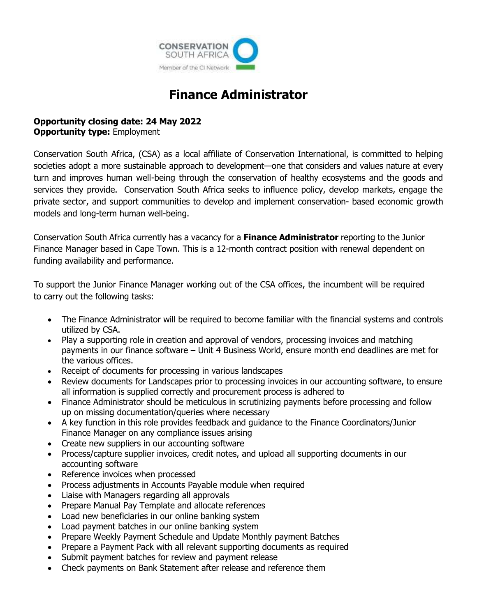

# **Finance Administrator**

## **Opportunity closing date: 24 May 2022 Opportunity type:** Employment

Conservation South Africa, (CSA) as a local affiliate of Conservation International, is committed to helping societies adopt a more sustainable approach to development—one that considers and values nature at every turn and improves human well-being through the conservation of healthy ecosystems and the goods and services they provide. Conservation South Africa seeks to influence policy, develop markets, engage the private sector, and support communities to develop and implement conservation- based economic growth models and long-term human well-being.

Conservation South Africa currently has a vacancy for a **Finance Administrator** reporting to the Junior Finance Manager based in Cape Town. This is a 12-month contract position with renewal dependent on funding availability and performance.

To support the Junior Finance Manager working out of the CSA offices, the incumbent will be required to carry out the following tasks:

- The Finance Administrator will be required to become familiar with the financial systems and controls utilized by CSA.
- Play a supporting role in creation and approval of vendors, processing invoices and matching payments in our finance software – Unit 4 Business World, ensure month end deadlines are met for the various offices.
- Receipt of documents for processing in various landscapes
- Review documents for Landscapes prior to processing invoices in our accounting software, to ensure all information is supplied correctly and procurement process is adhered to
- Finance Administrator should be meticulous in scrutinizing payments before processing and follow up on missing documentation/queries where necessary
- A key function in this role provides feedback and guidance to the Finance Coordinators/Junior Finance Manager on any compliance issues arising
- Create new suppliers in our accounting software
- Process/capture supplier invoices, credit notes, and upload all supporting documents in our accounting software
- Reference invoices when processed
- Process adjustments in Accounts Payable module when required
- Liaise with Managers regarding all approvals
- Prepare Manual Pay Template and allocate references
- Load new beneficiaries in our online banking system
- Load payment batches in our online banking system
- Prepare Weekly Payment Schedule and Update Monthly payment Batches
- Prepare a Payment Pack with all relevant supporting documents as required
- Submit payment batches for review and payment release
- Check payments on Bank Statement after release and reference them